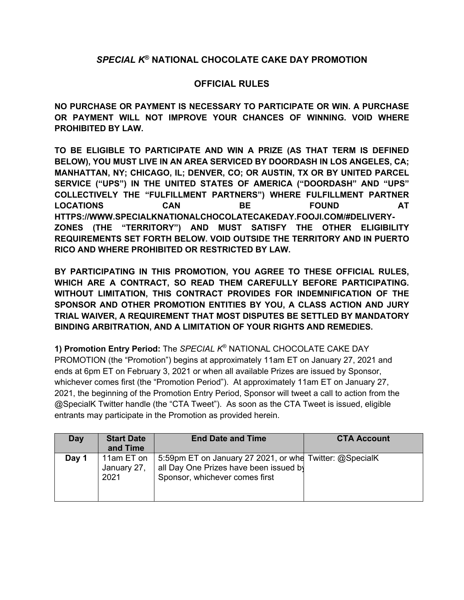## *SPECIAL K***® NATIONAL CHOCOLATE CAKE DAY PROMOTION**

## **OFFICIAL RULES**

**NO PURCHASE OR PAYMENT IS NECESSARY TO PARTICIPATE OR WIN. A PURCHASE OR PAYMENT WILL NOT IMPROVE YOUR CHANCES OF WINNING. VOID WHERE PROHIBITED BY LAW.**

**TO BE ELIGIBLE TO PARTICIPATE AND WIN A PRIZE (AS THAT TERM IS DEFINED BELOW), YOU MUST LIVE IN AN AREA SERVICED BY DOORDASH IN LOS ANGELES, CA; MANHATTAN, NY; CHICAGO, IL; DENVER, CO; OR AUSTIN, TX OR BY UNITED PARCEL SERVICE ("UPS") IN THE UNITED STATES OF AMERICA ("DOORDASH" AND "UPS" COLLECTIVELY THE "FULFILLMENT PARTNERS") WHERE FULFILLMENT PARTNER LOCATIONS CAN BE FOUND AT HTTPS://WWW.SPECIALKNATIONALCHOCOLATECAKEDAY.FOOJI.COM/#DELIVERY-ZONES (THE "TERRITORY") AND MUST SATISFY THE OTHER ELIGIBILITY REQUIREMENTS SET FORTH BELOW. VOID OUTSIDE THE TERRITORY AND IN PUERTO RICO AND WHERE PROHIBITED OR RESTRICTED BY LAW.**

**BY PARTICIPATING IN THIS PROMOTION, YOU AGREE TO THESE OFFICIAL RULES, WHICH ARE A CONTRACT, SO READ THEM CAREFULLY BEFORE PARTICIPATING. WITHOUT LIMITATION, THIS CONTRACT PROVIDES FOR INDEMNIFICATION OF THE SPONSOR AND OTHER PROMOTION ENTITIES BY YOU, A CLASS ACTION AND JURY TRIAL WAIVER, A REQUIREMENT THAT MOST DISPUTES BE SETTLED BY MANDATORY BINDING ARBITRATION, AND A LIMITATION OF YOUR RIGHTS AND REMEDIES.**

**1) Promotion Entry Period:** The *SPECIAL K*® NATIONAL CHOCOLATE CAKE DAY PROMOTION (the "Promotion") begins at approximately 11am ET on January 27, 2021 and ends at 6pm ET on February 3, 2021 or when all available Prizes are issued by Sponsor, whichever comes first (the "Promotion Period"). At approximately 11am ET on January 27, 2021, the beginning of the Promotion Entry Period, Sponsor will tweet a call to action from the @SpecialK Twitter handle (the "CTA Tweet"). As soon as the CTA Tweet is issued, eligible entrants may participate in the Promotion as provided herein.

| Day   | <b>Start Date</b><br>and Time     | <b>End Date and Time</b>                                                                                                            | <b>CTA Account</b> |
|-------|-----------------------------------|-------------------------------------------------------------------------------------------------------------------------------------|--------------------|
| Day 1 | 11am ET on<br>January 27,<br>2021 | 5:59pm ET on January 27 2021, or whe Twitter: @SpecialK<br>all Day One Prizes have been issued by<br>Sponsor, whichever comes first |                    |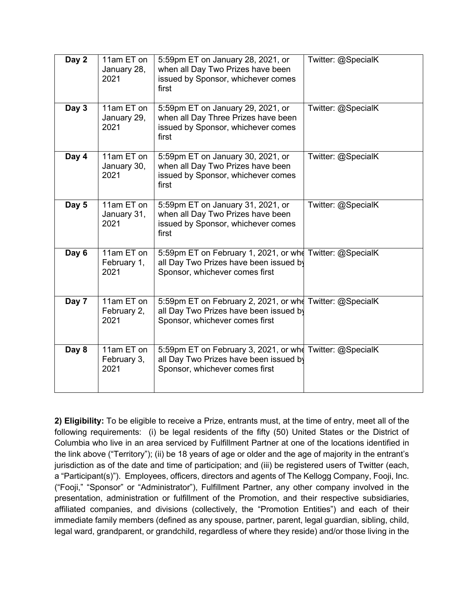| Day 2 | 11am ET on<br>January 28,<br>2021 | 5:59pm ET on January 28, 2021, or<br>when all Day Two Prizes have been<br>issued by Sponsor, whichever comes<br>first                | Twitter: @SpecialK |
|-------|-----------------------------------|--------------------------------------------------------------------------------------------------------------------------------------|--------------------|
| Day 3 | 11am ET on<br>January 29,<br>2021 | 5:59pm ET on January 29, 2021, or<br>when all Day Three Prizes have been<br>issued by Sponsor, whichever comes<br>first              | Twitter: @SpecialK |
| Day 4 | 11am ET on<br>January 30,<br>2021 | 5:59pm ET on January 30, 2021, or<br>when all Day Two Prizes have been<br>issued by Sponsor, whichever comes<br>first                | Twitter: @SpecialK |
| Day 5 | 11am ET on<br>January 31,<br>2021 | 5:59pm ET on January 31, 2021, or<br>when all Day Two Prizes have been<br>issued by Sponsor, whichever comes<br>first                | Twitter: @SpecialK |
| Day 6 | 11am ET on<br>February 1,<br>2021 | 5:59pm ET on February 1, 2021, or whe Twitter: @SpecialK<br>all Day Two Prizes have been issued by<br>Sponsor, whichever comes first |                    |
| Day 7 | 11am ET on<br>February 2,<br>2021 | 5:59pm ET on February 2, 2021, or whe Twitter: @SpecialK<br>all Day Two Prizes have been issued by<br>Sponsor, whichever comes first |                    |
| Day 8 | 11am ET on<br>February 3,<br>2021 | 5:59pm ET on February 3, 2021, or whe Twitter: @SpecialK<br>all Day Two Prizes have been issued by<br>Sponsor, whichever comes first |                    |

**2) Eligibility:** To be eligible to receive a Prize, entrants must, at the time of entry, meet all of the following requirements: (i) be legal residents of the fifty (50) United States or the District of Columbia who live in an area serviced by Fulfillment Partner at one of the locations identified in the link above ("Territory"); (ii) be 18 years of age or older and the age of majority in the entrant's jurisdiction as of the date and time of participation; and (iii) be registered users of Twitter (each, a "Participant(s)"). Employees, officers, directors and agents of The Kellogg Company, Fooji, Inc. ("Fooji," "Sponsor" or "Administrator"), Fulfillment Partner, any other company involved in the presentation, administration or fulfillment of the Promotion, and their respective subsidiaries, affiliated companies, and divisions (collectively, the "Promotion Entities") and each of their immediate family members (defined as any spouse, partner, parent, legal guardian, sibling, child, legal ward, grandparent, or grandchild, regardless of where they reside) and/or those living in the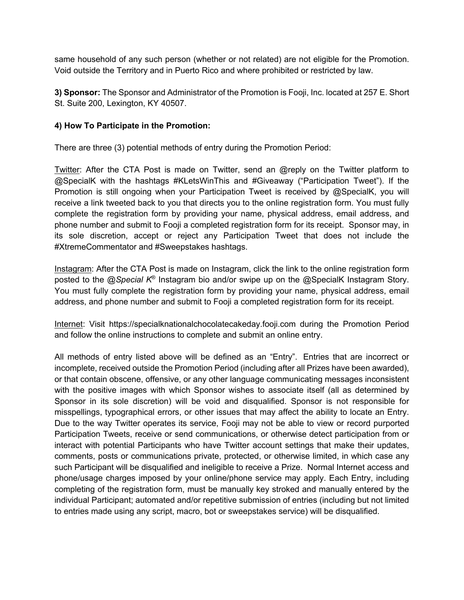same household of any such person (whether or not related) are not eligible for the Promotion. Void outside the Territory and in Puerto Rico and where prohibited or restricted by law.

**3) Sponsor:** The Sponsor and Administrator of the Promotion is Fooji, Inc. located at 257 E. Short St. Suite 200, Lexington, KY 40507.

#### **4) How To Participate in the Promotion:**

There are three (3) potential methods of entry during the Promotion Period:

Twitter: After the CTA Post is made on Twitter, send an @reply on the Twitter platform to @SpecialK with the hashtags #KLetsWinThis and #Giveaway ("Participation Tweet"). If the Promotion is still ongoing when your Participation Tweet is received by @SpecialK, you will receive a link tweeted back to you that directs you to the online registration form. You must fully complete the registration form by providing your name, physical address, email address, and phone number and submit to Fooji a completed registration form for its receipt. Sponsor may, in its sole discretion, accept or reject any Participation Tweet that does not include the #XtremeCommentator and #Sweepstakes hashtags.

Instagram: After the CTA Post is made on Instagram, click the link to the online registration form posted to the @*Special K*® Instagram bio and/or swipe up on the @SpecialK Instagram Story. You must fully complete the registration form by providing your name, physical address, email address, and phone number and submit to Fooji a completed registration form for its receipt.

Internet: Visit https://specialknationalchocolatecakeday.fooji.com during the Promotion Period and follow the online instructions to complete and submit an online entry.

All methods of entry listed above will be defined as an "Entry". Entries that are incorrect or incomplete, received outside the Promotion Period (including after all Prizes have been awarded), or that contain obscene, offensive, or any other language communicating messages inconsistent with the positive images with which Sponsor wishes to associate itself (all as determined by Sponsor in its sole discretion) will be void and disqualified. Sponsor is not responsible for misspellings, typographical errors, or other issues that may affect the ability to locate an Entry. Due to the way Twitter operates its service, Fooji may not be able to view or record purported Participation Tweets, receive or send communications, or otherwise detect participation from or interact with potential Participants who have Twitter account settings that make their updates, comments, posts or communications private, protected, or otherwise limited, in which case any such Participant will be disqualified and ineligible to receive a Prize. Normal Internet access and phone/usage charges imposed by your online/phone service may apply. Each Entry, including completing of the registration form, must be manually key stroked and manually entered by the individual Participant; automated and/or repetitive submission of entries (including but not limited to entries made using any script, macro, bot or sweepstakes service) will be disqualified.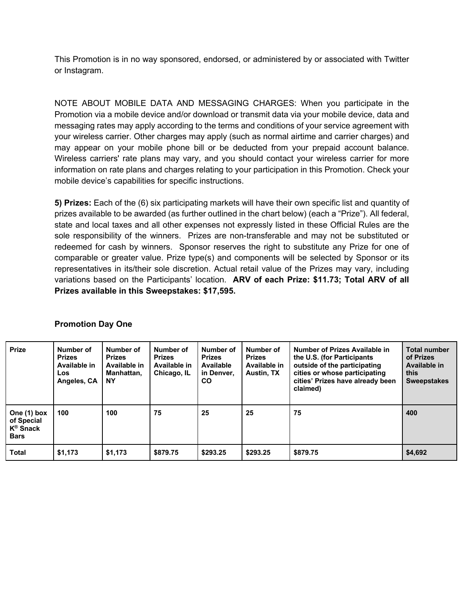This Promotion is in no way sponsored, endorsed, or administered by or associated with Twitter or Instagram.

NOTE ABOUT MOBILE DATA AND MESSAGING CHARGES: When you participate in the Promotion via a mobile device and/or download or transmit data via your mobile device, data and messaging rates may apply according to the terms and conditions of your service agreement with your wireless carrier. Other charges may apply (such as normal airtime and carrier charges) and may appear on your mobile phone bill or be deducted from your prepaid account balance. Wireless carriers' rate plans may vary, and you should contact your wireless carrier for more information on rate plans and charges relating to your participation in this Promotion. Check your mobile device's capabilities for specific instructions.

**5) Prizes:** Each of the (6) six participating markets will have their own specific list and quantity of prizes available to be awarded (as further outlined in the chart below) (each a "Prize"). All federal, state and local taxes and all other expenses not expressly listed in these Official Rules are the sole responsibility of the winners. Prizes are non-transferable and may not be substituted or redeemed for cash by winners. Sponsor reserves the right to substitute any Prize for one of comparable or greater value. Prize type(s) and components will be selected by Sponsor or its representatives in its/their sole discretion. Actual retail value of the Prizes may vary, including variations based on the Participants' location. **ARV of each Prize: \$11.73; Total ARV of all Prizes available in this Sweepstakes: \$17,595.**

| <b>Prize</b>                                                     | Number of<br><b>Prizes</b><br>Available in<br>Los<br>Angeles, CA | Number of<br><b>Prizes</b><br>Available in<br>Manhattan,<br>ΝY | Number of<br><b>Prizes</b><br>Available in<br>Chicago, IL | Number of<br><b>Prizes</b><br>Available<br>in Denver.<br>CO. | Number of<br><b>Prizes</b><br>Available in<br><b>Austin, TX</b> | Number of Prizes Available in<br>the U.S. (for Participants<br>outside of the participating<br>cities or whose participating<br>cities' Prizes have already been<br>claimed) | <b>Total number</b><br>of Prizes<br>Available in<br>this<br><b>Sweepstakes</b> |
|------------------------------------------------------------------|------------------------------------------------------------------|----------------------------------------------------------------|-----------------------------------------------------------|--------------------------------------------------------------|-----------------------------------------------------------------|------------------------------------------------------------------------------------------------------------------------------------------------------------------------------|--------------------------------------------------------------------------------|
| One (1) box<br>of Special<br>K <sup>®</sup> Snack<br><b>Bars</b> | 100                                                              | 100                                                            | 75                                                        | 25                                                           | 25                                                              | 75                                                                                                                                                                           | 400                                                                            |
| <b>Total</b>                                                     | \$1,173                                                          | \$1,173                                                        | \$879.75                                                  | \$293.25                                                     | \$293.25                                                        | \$879.75                                                                                                                                                                     | \$4,692                                                                        |

## **Promotion Day One**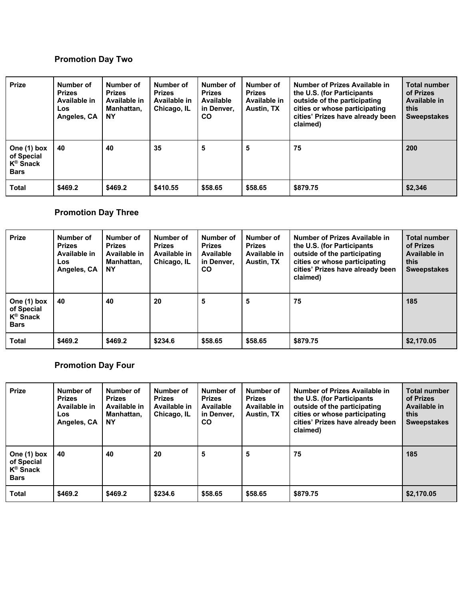# **Promotion Day Two**

| <b>Prize</b>                                                      | Number of<br><b>Prizes</b><br>Available in<br>Los<br>Angeles, CA | Number of<br><b>Prizes</b><br>Available in<br>Manhattan,<br><b>NY</b> | Number of<br><b>Prizes</b><br>Available in<br>Chicago, IL | Number of<br><b>Prizes</b><br>Available<br>in Denver.<br>CO. | Number of<br><b>Prizes</b><br>Available in<br>Austin, TX | Number of Prizes Available in<br>the U.S. (for Participants<br>outside of the participating<br>cities or whose participating<br>cities' Prizes have already been<br>claimed) | Total number<br>of Prizes<br>Available in<br>this<br><b>Sweepstakes</b> |
|-------------------------------------------------------------------|------------------------------------------------------------------|-----------------------------------------------------------------------|-----------------------------------------------------------|--------------------------------------------------------------|----------------------------------------------------------|------------------------------------------------------------------------------------------------------------------------------------------------------------------------------|-------------------------------------------------------------------------|
| One (1) box<br>of Special<br>$K^{\circledR}$ Snack<br><b>Bars</b> | 40                                                               | 40                                                                    | 35                                                        | 5                                                            | 5                                                        | 75                                                                                                                                                                           | 200                                                                     |
| <b>Total</b>                                                      | \$469.2                                                          | \$469.2                                                               | \$410.55                                                  | \$58.65                                                      | \$58.65                                                  | \$879.75                                                                                                                                                                     | \$2,346                                                                 |

# **Promotion Day Three**

| <b>Prize</b>                                                      | Number of<br><b>Prizes</b><br>Available in<br>Los<br>Angeles, CA | Number of<br><b>Prizes</b><br>Available in<br>Manhattan,<br><b>NY</b> | Number of<br><b>Prizes</b><br>Available in<br>Chicago, IL | Number of<br><b>Prizes</b><br>Available<br>in Denver.<br>CO. | Number of<br><b>Prizes</b><br>Available in<br>Austin, TX | Number of Prizes Available in<br>the U.S. (for Participants<br>outside of the participating<br>cities or whose participating<br>cities' Prizes have already been<br>claimed) | Total number<br>of Prizes<br>Available in<br>this<br><b>Sweepstakes</b> |
|-------------------------------------------------------------------|------------------------------------------------------------------|-----------------------------------------------------------------------|-----------------------------------------------------------|--------------------------------------------------------------|----------------------------------------------------------|------------------------------------------------------------------------------------------------------------------------------------------------------------------------------|-------------------------------------------------------------------------|
| One (1) box<br>of Special<br>$K^{\circledR}$ Snack<br><b>Bars</b> | 40                                                               | 40                                                                    | 20                                                        | 5                                                            | 5                                                        | 75                                                                                                                                                                           | 185                                                                     |
| Total                                                             | \$469.2                                                          | \$469.2                                                               | \$234.6                                                   | \$58.65                                                      | \$58.65                                                  | \$879.75                                                                                                                                                                     | \$2,170.05                                                              |

# **Promotion Day Four**

| <b>Prize</b>                                                      | Number of<br><b>Prizes</b><br>Available in<br>Los<br>Angeles, CA | Number of<br><b>Prizes</b><br>Available in<br>Manhattan.<br><b>NY</b> | Number of<br><b>Prizes</b><br>Available in<br>Chicago, IL | Number of<br><b>Prizes</b><br>Available<br>in Denver.<br>CO. | Number of<br><b>Prizes</b><br>Available in<br>Austin, TX | Number of Prizes Available in<br>the U.S. (for Participants<br>outside of the participating<br>cities or whose participating<br>cities' Prizes have already been<br>claimed) | <b>Total number</b><br>of Prizes<br>Available in<br>this.<br><b>Sweepstakes</b> |
|-------------------------------------------------------------------|------------------------------------------------------------------|-----------------------------------------------------------------------|-----------------------------------------------------------|--------------------------------------------------------------|----------------------------------------------------------|------------------------------------------------------------------------------------------------------------------------------------------------------------------------------|---------------------------------------------------------------------------------|
| One (1) box<br>of Special<br>$K^{\circledR}$ Snack<br><b>Bars</b> | 40                                                               | 40                                                                    | 20                                                        | 5                                                            | 5                                                        | 75                                                                                                                                                                           | 185                                                                             |
| <b>Total</b>                                                      | \$469.2                                                          | \$469.2                                                               | \$234.6                                                   | \$58.65                                                      | \$58.65                                                  | \$879.75                                                                                                                                                                     | \$2,170.05                                                                      |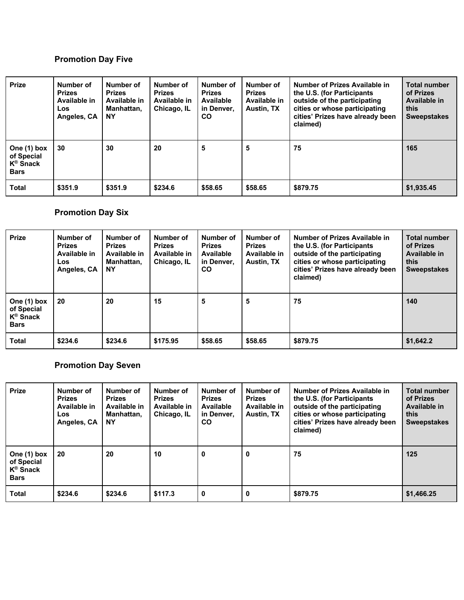# **Promotion Day Five**

| <b>Prize</b>                                                      | Number of<br><b>Prizes</b><br>Available in<br>Los<br>Angeles, CA | Number of<br><b>Prizes</b><br>Available in<br>Manhattan,<br><b>NY</b> | Number of<br><b>Prizes</b><br>Available in<br>Chicago, IL | Number of<br><b>Prizes</b><br>Available<br>in Denver.<br><b>CO</b> | Number of<br><b>Prizes</b><br>Available in<br><b>Austin, TX</b> | Number of Prizes Available in<br>the U.S. (for Participants<br>outside of the participating<br>cities or whose participating<br>cities' Prizes have already been<br>claimed) | <b>Total number</b><br>of Prizes<br>Available in<br>this<br><b>Sweepstakes</b> |
|-------------------------------------------------------------------|------------------------------------------------------------------|-----------------------------------------------------------------------|-----------------------------------------------------------|--------------------------------------------------------------------|-----------------------------------------------------------------|------------------------------------------------------------------------------------------------------------------------------------------------------------------------------|--------------------------------------------------------------------------------|
| One (1) box<br>of Special<br>$K^{\circledR}$ Snack<br><b>Bars</b> | 30                                                               | 30                                                                    | 20                                                        | 5                                                                  | 5                                                               | 75                                                                                                                                                                           | 165                                                                            |
| Total                                                             | \$351.9                                                          | \$351.9                                                               | \$234.6                                                   | \$58.65                                                            | \$58.65                                                         | \$879.75                                                                                                                                                                     | \$1,935.45                                                                     |

# **Promotion Day Six**

| <b>Prize</b>                                                     | Number of<br><b>Prizes</b><br>Available in<br>Los<br>Angeles, CA | Number of<br><b>Prizes</b><br>Available in<br>Manhattan,<br><b>NY</b> | Number of<br><b>Prizes</b><br>Available in<br>Chicago, IL | Number of<br><b>Prizes</b><br>Available<br>in Denver,<br>CO. | Number of<br><b>Prizes</b><br>Available in<br>Austin, TX | Number of Prizes Available in<br>the U.S. (for Participants<br>outside of the participating<br>cities or whose participating<br>cities' Prizes have already been<br>claimed) | <b>Total number</b><br>of Prizes<br>Available in<br>this<br><b>Sweepstakes</b> |
|------------------------------------------------------------------|------------------------------------------------------------------|-----------------------------------------------------------------------|-----------------------------------------------------------|--------------------------------------------------------------|----------------------------------------------------------|------------------------------------------------------------------------------------------------------------------------------------------------------------------------------|--------------------------------------------------------------------------------|
| One (1) box<br>of Special<br>K <sup>®</sup> Snack<br><b>Bars</b> | 20                                                               | 20                                                                    | 15                                                        | 5                                                            | 5                                                        | 75                                                                                                                                                                           | 140                                                                            |
| Total                                                            | \$234.6                                                          | \$234.6                                                               | \$175.95                                                  | \$58.65                                                      | \$58.65                                                  | \$879.75                                                                                                                                                                     | \$1,642.2                                                                      |

# **Promotion Day Seven**

| <b>Prize</b>                                                      | Number of<br><b>Prizes</b><br>Available in<br><b>Los</b><br>Angeles, CA | Number of<br><b>Prizes</b><br>Available in<br>Manhattan.<br><b>NY</b> | Number of<br><b>Prizes</b><br>Available in<br>Chicago, IL | Number of<br><b>Prizes</b><br>Available<br>in Denver.<br>CO. | Number of<br><b>Prizes</b><br>Available in<br>Austin, TX | Number of Prizes Available in<br>the U.S. (for Participants<br>outside of the participating<br>cities or whose participating<br>cities' Prizes have already been<br>claimed) | <b>Total number</b><br>of Prizes<br>Available in<br>this<br><b>Sweepstakes</b> |
|-------------------------------------------------------------------|-------------------------------------------------------------------------|-----------------------------------------------------------------------|-----------------------------------------------------------|--------------------------------------------------------------|----------------------------------------------------------|------------------------------------------------------------------------------------------------------------------------------------------------------------------------------|--------------------------------------------------------------------------------|
| One (1) box<br>of Special<br>$K^{\circledR}$ Snack<br><b>Bars</b> | 20                                                                      | 20                                                                    | 10                                                        | $\bf{0}$                                                     | 0                                                        | 75                                                                                                                                                                           | 125                                                                            |
| Total                                                             | \$234.6                                                                 | \$234.6                                                               | \$117.3                                                   | $\bf{0}$                                                     | 0                                                        | \$879.75                                                                                                                                                                     | \$1,466.25                                                                     |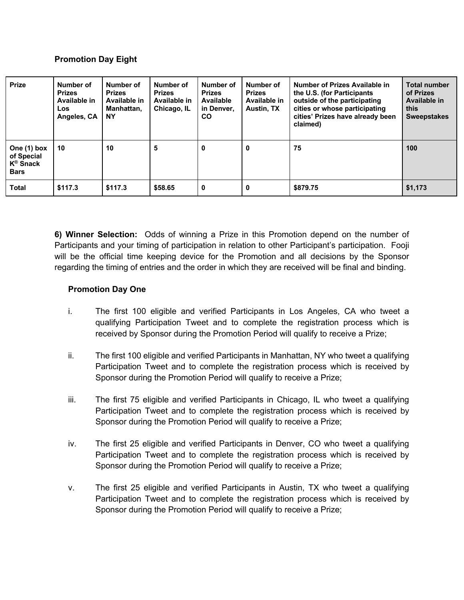#### **Promotion Day Eight**

| <b>Prize</b>                                                      | Number of<br><b>Prizes</b><br>Available in<br>Los<br>Angeles, CA | Number of<br><b>Prizes</b><br>Available in<br>Manhattan.<br><b>NY</b> | Number of<br><b>Prizes</b><br>Available in<br>Chicago, IL | Number of<br><b>Prizes</b><br>Available<br>in Denver.<br><b>CO</b> | Number of<br><b>Prizes</b><br>Available in<br>Austin, TX | Number of Prizes Available in<br>the U.S. (for Participants)<br>outside of the participating<br>cities or whose participating<br>cities' Prizes have already been<br>claimed) | <b>Total number</b><br>of Prizes<br>Available in<br>this<br><b>Sweepstakes</b> |
|-------------------------------------------------------------------|------------------------------------------------------------------|-----------------------------------------------------------------------|-----------------------------------------------------------|--------------------------------------------------------------------|----------------------------------------------------------|-------------------------------------------------------------------------------------------------------------------------------------------------------------------------------|--------------------------------------------------------------------------------|
| One (1) box<br>of Special<br>$K^{\circledR}$ Snack<br><b>Bars</b> | 10                                                               | 10                                                                    | 5                                                         | 0                                                                  | 0                                                        | 75                                                                                                                                                                            | 100                                                                            |
| <b>Total</b>                                                      | \$117.3                                                          | \$117.3                                                               | \$58.65                                                   | 0                                                                  | 0                                                        | \$879.75                                                                                                                                                                      | \$1,173                                                                        |

**6) Winner Selection:** Odds of winning a Prize in this Promotion depend on the number of Participants and your timing of participation in relation to other Participant's participation. Fooji will be the official time keeping device for the Promotion and all decisions by the Sponsor regarding the timing of entries and the order in which they are received will be final and binding.

#### **Promotion Day One**

- i. The first 100 eligible and verified Participants in Los Angeles, CA who tweet a qualifying Participation Tweet and to complete the registration process which is received by Sponsor during the Promotion Period will qualify to receive a Prize;
- ii. The first 100 eligible and verified Participants in Manhattan, NY who tweet a qualifying Participation Tweet and to complete the registration process which is received by Sponsor during the Promotion Period will qualify to receive a Prize;
- iii. The first 75 eligible and verified Participants in Chicago, IL who tweet a qualifying Participation Tweet and to complete the registration process which is received by Sponsor during the Promotion Period will qualify to receive a Prize;
- iv. The first 25 eligible and verified Participants in Denver, CO who tweet a qualifying Participation Tweet and to complete the registration process which is received by Sponsor during the Promotion Period will qualify to receive a Prize;
- v. The first 25 eligible and verified Participants in Austin, TX who tweet a qualifying Participation Tweet and to complete the registration process which is received by Sponsor during the Promotion Period will qualify to receive a Prize;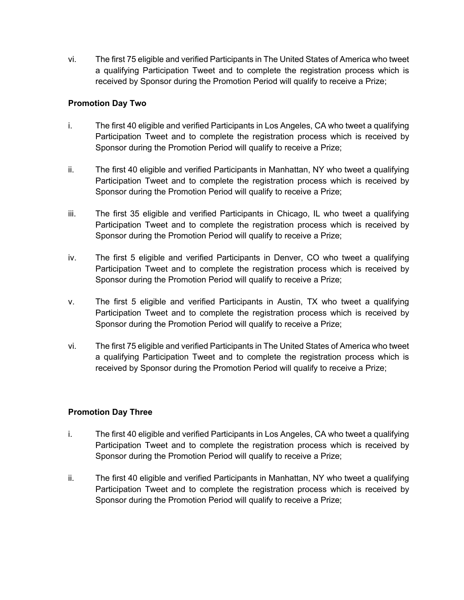vi. The first 75 eligible and verified Participants in The United States of America who tweet a qualifying Participation Tweet and to complete the registration process which is received by Sponsor during the Promotion Period will qualify to receive a Prize;

#### **Promotion Day Two**

- i. The first 40 eligible and verified Participants in Los Angeles, CA who tweet a qualifying Participation Tweet and to complete the registration process which is received by Sponsor during the Promotion Period will qualify to receive a Prize;
- ii. The first 40 eligible and verified Participants in Manhattan, NY who tweet a qualifying Participation Tweet and to complete the registration process which is received by Sponsor during the Promotion Period will qualify to receive a Prize;
- iii. The first 35 eligible and verified Participants in Chicago, IL who tweet a qualifying Participation Tweet and to complete the registration process which is received by Sponsor during the Promotion Period will qualify to receive a Prize;
- iv. The first 5 eligible and verified Participants in Denver, CO who tweet a qualifying Participation Tweet and to complete the registration process which is received by Sponsor during the Promotion Period will qualify to receive a Prize;
- v. The first 5 eligible and verified Participants in Austin, TX who tweet a qualifying Participation Tweet and to complete the registration process which is received by Sponsor during the Promotion Period will qualify to receive a Prize;
- vi. The first 75 eligible and verified Participants in The United States of America who tweet a qualifying Participation Tweet and to complete the registration process which is received by Sponsor during the Promotion Period will qualify to receive a Prize;

## **Promotion Day Three**

- i. The first 40 eligible and verified Participants in Los Angeles, CA who tweet a qualifying Participation Tweet and to complete the registration process which is received by Sponsor during the Promotion Period will qualify to receive a Prize;
- ii. The first 40 eligible and verified Participants in Manhattan, NY who tweet a qualifying Participation Tweet and to complete the registration process which is received by Sponsor during the Promotion Period will qualify to receive a Prize;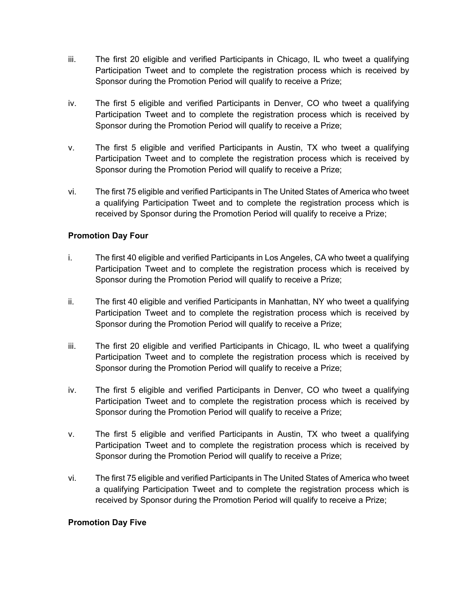- iii. The first 20 eligible and verified Participants in Chicago, IL who tweet a qualifying Participation Tweet and to complete the registration process which is received by Sponsor during the Promotion Period will qualify to receive a Prize;
- iv. The first 5 eligible and verified Participants in Denver, CO who tweet a qualifying Participation Tweet and to complete the registration process which is received by Sponsor during the Promotion Period will qualify to receive a Prize;
- v. The first 5 eligible and verified Participants in Austin, TX who tweet a qualifying Participation Tweet and to complete the registration process which is received by Sponsor during the Promotion Period will qualify to receive a Prize;
- vi. The first 75 eligible and verified Participants in The United States of America who tweet a qualifying Participation Tweet and to complete the registration process which is received by Sponsor during the Promotion Period will qualify to receive a Prize;

## **Promotion Day Four**

- i. The first 40 eligible and verified Participants in Los Angeles, CA who tweet a qualifying Participation Tweet and to complete the registration process which is received by Sponsor during the Promotion Period will qualify to receive a Prize;
- ii. The first 40 eligible and verified Participants in Manhattan, NY who tweet a qualifying Participation Tweet and to complete the registration process which is received by Sponsor during the Promotion Period will qualify to receive a Prize;
- iii. The first 20 eligible and verified Participants in Chicago, IL who tweet a qualifying Participation Tweet and to complete the registration process which is received by Sponsor during the Promotion Period will qualify to receive a Prize;
- iv. The first 5 eligible and verified Participants in Denver, CO who tweet a qualifying Participation Tweet and to complete the registration process which is received by Sponsor during the Promotion Period will qualify to receive a Prize;
- v. The first 5 eligible and verified Participants in Austin, TX who tweet a qualifying Participation Tweet and to complete the registration process which is received by Sponsor during the Promotion Period will qualify to receive a Prize;
- vi. The first 75 eligible and verified Participants in The United States of America who tweet a qualifying Participation Tweet and to complete the registration process which is received by Sponsor during the Promotion Period will qualify to receive a Prize;

## **Promotion Day Five**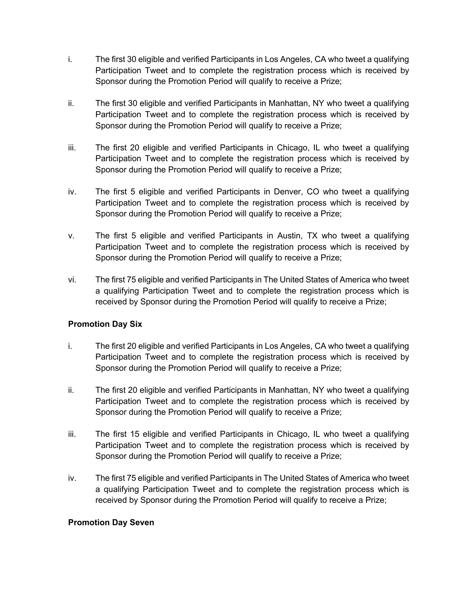- i. The first 30 eligible and verified Participants in Los Angeles, CA who tweet a qualifying Participation Tweet and to complete the registration process which is received by Sponsor during the Promotion Period will qualify to receive a Prize;
- ii. The first 30 eligible and verified Participants in Manhattan, NY who tweet a qualifying Participation Tweet and to complete the registration process which is received by Sponsor during the Promotion Period will qualify to receive a Prize;
- iii. The first 20 eligible and verified Participants in Chicago, IL who tweet a qualifying Participation Tweet and to complete the registration process which is received by Sponsor during the Promotion Period will qualify to receive a Prize;
- iv. The first 5 eligible and verified Participants in Denver, CO who tweet a qualifying Participation Tweet and to complete the registration process which is received by Sponsor during the Promotion Period will qualify to receive a Prize;
- v. The first 5 eligible and verified Participants in Austin, TX who tweet a qualifying Participation Tweet and to complete the registration process which is received by Sponsor during the Promotion Period will qualify to receive a Prize;
- vi. The first 75 eligible and verified Participants in The United States of America who tweet a qualifying Participation Tweet and to complete the registration process which is received by Sponsor during the Promotion Period will qualify to receive a Prize;

## **Promotion Day Six**

- i. The first 20 eligible and verified Participants in Los Angeles, CA who tweet a qualifying Participation Tweet and to complete the registration process which is received by Sponsor during the Promotion Period will qualify to receive a Prize;
- ii. The first 20 eligible and verified Participants in Manhattan, NY who tweet a qualifying Participation Tweet and to complete the registration process which is received by Sponsor during the Promotion Period will qualify to receive a Prize;
- iii. The first 15 eligible and verified Participants in Chicago, IL who tweet a qualifying Participation Tweet and to complete the registration process which is received by Sponsor during the Promotion Period will qualify to receive a Prize;
- iv. The first 75 eligible and verified Participants in The United States of America who tweet a qualifying Participation Tweet and to complete the registration process which is received by Sponsor during the Promotion Period will qualify to receive a Prize;

## **Promotion Day Seven**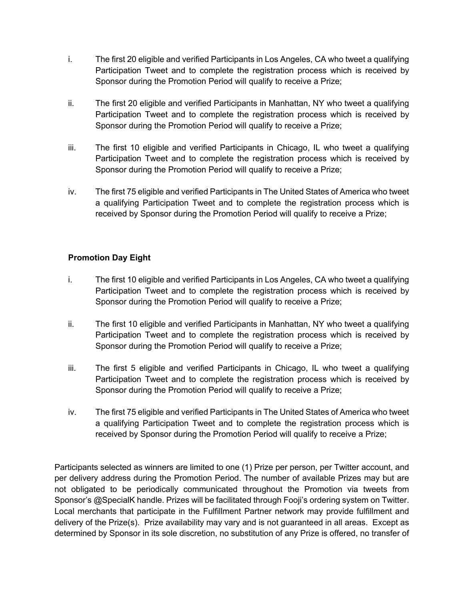- i. The first 20 eligible and verified Participants in Los Angeles, CA who tweet a qualifying Participation Tweet and to complete the registration process which is received by Sponsor during the Promotion Period will qualify to receive a Prize;
- ii. The first 20 eligible and verified Participants in Manhattan, NY who tweet a qualifying Participation Tweet and to complete the registration process which is received by Sponsor during the Promotion Period will qualify to receive a Prize;
- iii. The first 10 eligible and verified Participants in Chicago, IL who tweet a qualifying Participation Tweet and to complete the registration process which is received by Sponsor during the Promotion Period will qualify to receive a Prize;
- iv. The first 75 eligible and verified Participants in The United States of America who tweet a qualifying Participation Tweet and to complete the registration process which is received by Sponsor during the Promotion Period will qualify to receive a Prize;

## **Promotion Day Eight**

- i. The first 10 eligible and verified Participants in Los Angeles, CA who tweet a qualifying Participation Tweet and to complete the registration process which is received by Sponsor during the Promotion Period will qualify to receive a Prize;
- ii. The first 10 eligible and verified Participants in Manhattan, NY who tweet a qualifying Participation Tweet and to complete the registration process which is received by Sponsor during the Promotion Period will qualify to receive a Prize;
- iii. The first 5 eligible and verified Participants in Chicago, IL who tweet a qualifying Participation Tweet and to complete the registration process which is received by Sponsor during the Promotion Period will qualify to receive a Prize;
- iv. The first 75 eligible and verified Participants in The United States of America who tweet a qualifying Participation Tweet and to complete the registration process which is received by Sponsor during the Promotion Period will qualify to receive a Prize;

Participants selected as winners are limited to one (1) Prize per person, per Twitter account, and per delivery address during the Promotion Period. The number of available Prizes may but are not obligated to be periodically communicated throughout the Promotion via tweets from Sponsor's @SpecialK handle. Prizes will be facilitated through Fooji's ordering system on Twitter. Local merchants that participate in the Fulfillment Partner network may provide fulfillment and delivery of the Prize(s). Prize availability may vary and is not guaranteed in all areas. Except as determined by Sponsor in its sole discretion, no substitution of any Prize is offered, no transfer of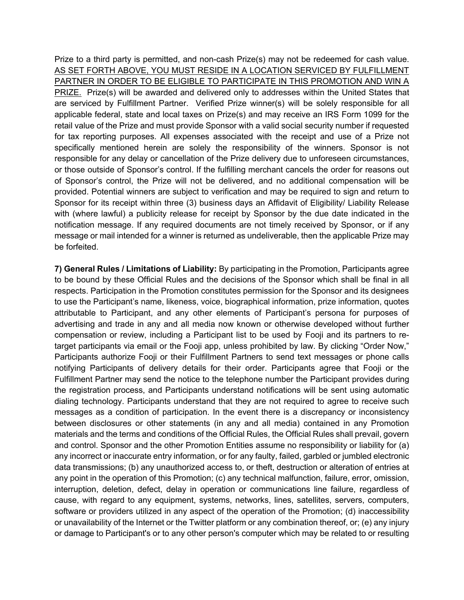Prize to a third party is permitted, and non-cash Prize(s) may not be redeemed for cash value. AS SET FORTH ABOVE, YOU MUST RESIDE IN A LOCATION SERVICED BY FULFILLMENT PARTNER IN ORDER TO BE ELIGIBLE TO PARTICIPATE IN THIS PROMOTION AND WIN A PRIZE. Prize(s) will be awarded and delivered only to addresses within the United States that are serviced by Fulfillment Partner. Verified Prize winner(s) will be solely responsible for all applicable federal, state and local taxes on Prize(s) and may receive an IRS Form 1099 for the retail value of the Prize and must provide Sponsor with a valid social security number if requested for tax reporting purposes. All expenses associated with the receipt and use of a Prize not specifically mentioned herein are solely the responsibility of the winners. Sponsor is not responsible for any delay or cancellation of the Prize delivery due to unforeseen circumstances, or those outside of Sponsor's control. If the fulfilling merchant cancels the order for reasons out of Sponsor's control, the Prize will not be delivered, and no additional compensation will be provided. Potential winners are subject to verification and may be required to sign and return to Sponsor for its receipt within three (3) business days an Affidavit of Eligibility/ Liability Release with (where lawful) a publicity release for receipt by Sponsor by the due date indicated in the notification message. If any required documents are not timely received by Sponsor, or if any message or mail intended for a winner is returned as undeliverable, then the applicable Prize may be forfeited.

**7) General Rules / Limitations of Liability:** By participating in the Promotion, Participants agree to be bound by these Official Rules and the decisions of the Sponsor which shall be final in all respects. Participation in the Promotion constitutes permission for the Sponsor and its designees to use the Participant's name, likeness, voice, biographical information, prize information, quotes attributable to Participant, and any other elements of Participant's persona for purposes of advertising and trade in any and all media now known or otherwise developed without further compensation or review, including a Participant list to be used by Fooji and its partners to retarget participants via email or the Fooji app, unless prohibited by law. By clicking "Order Now," Participants authorize Fooji or their Fulfillment Partners to send text messages or phone calls notifying Participants of delivery details for their order. Participants agree that Fooji or the Fulfillment Partner may send the notice to the telephone number the Participant provides during the registration process, and Participants understand notifications will be sent using automatic dialing technology. Participants understand that they are not required to agree to receive such messages as a condition of participation. In the event there is a discrepancy or inconsistency between disclosures or other statements (in any and all media) contained in any Promotion materials and the terms and conditions of the Official Rules, the Official Rules shall prevail, govern and control. Sponsor and the other Promotion Entities assume no responsibility or liability for (a) any incorrect or inaccurate entry information, or for any faulty, failed, garbled or jumbled electronic data transmissions; (b) any unauthorized access to, or theft, destruction or alteration of entries at any point in the operation of this Promotion; (c) any technical malfunction, failure, error, omission, interruption, deletion, defect, delay in operation or communications line failure, regardless of cause, with regard to any equipment, systems, networks, lines, satellites, servers, computers, software or providers utilized in any aspect of the operation of the Promotion; (d) inaccessibility or unavailability of the Internet or the Twitter platform or any combination thereof, or; (e) any injury or damage to Participant's or to any other person's computer which may be related to or resulting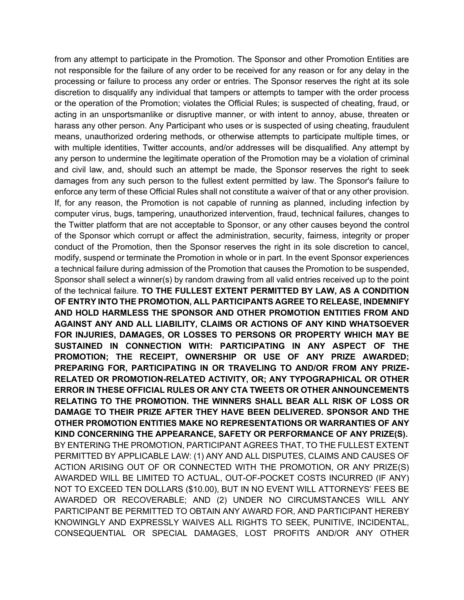from any attempt to participate in the Promotion. The Sponsor and other Promotion Entities are not responsible for the failure of any order to be received for any reason or for any delay in the processing or failure to process any order or entries. The Sponsor reserves the right at its sole discretion to disqualify any individual that tampers or attempts to tamper with the order process or the operation of the Promotion; violates the Official Rules; is suspected of cheating, fraud, or acting in an unsportsmanlike or disruptive manner, or with intent to annoy, abuse, threaten or harass any other person. Any Participant who uses or is suspected of using cheating, fraudulent means, unauthorized ordering methods, or otherwise attempts to participate multiple times, or with multiple identities, Twitter accounts, and/or addresses will be disqualified. Any attempt by any person to undermine the legitimate operation of the Promotion may be a violation of criminal and civil law, and, should such an attempt be made, the Sponsor reserves the right to seek damages from any such person to the fullest extent permitted by law. The Sponsor's failure to enforce any term of these Official Rules shall not constitute a waiver of that or any other provision. If, for any reason, the Promotion is not capable of running as planned, including infection by computer virus, bugs, tampering, unauthorized intervention, fraud, technical failures, changes to the Twitter platform that are not acceptable to Sponsor, or any other causes beyond the control of the Sponsor which corrupt or affect the administration, security, fairness, integrity or proper conduct of the Promotion, then the Sponsor reserves the right in its sole discretion to cancel, modify, suspend or terminate the Promotion in whole or in part. In the event Sponsor experiences a technical failure during admission of the Promotion that causes the Promotion to be suspended, Sponsor shall select a winner(s) by random drawing from all valid entries received up to the point of the technical failure. **TO THE FULLEST EXTENT PERMITTED BY LAW, AS A CONDITION OF ENTRY INTO THE PROMOTION, ALL PARTICIPANTS AGREE TO RELEASE, INDEMNIFY AND HOLD HARMLESS THE SPONSOR AND OTHER PROMOTION ENTITIES FROM AND AGAINST ANY AND ALL LIABILITY, CLAIMS OR ACTIONS OF ANY KIND WHATSOEVER FOR INJURIES, DAMAGES, OR LOSSES TO PERSONS OR PROPERTY WHICH MAY BE SUSTAINED IN CONNECTION WITH: PARTICIPATING IN ANY ASPECT OF THE PROMOTION; THE RECEIPT, OWNERSHIP OR USE OF ANY PRIZE AWARDED; PREPARING FOR, PARTICIPATING IN OR TRAVELING TO AND/OR FROM ANY PRIZE-RELATED OR PROMOTION-RELATED ACTIVITY, OR; ANY TYPOGRAPHICAL OR OTHER ERROR IN THESE OFFICIAL RULES OR ANY CTA TWEETS OR OTHER ANNOUNCEMENTS RELATING TO THE PROMOTION. THE WINNERS SHALL BEAR ALL RISK OF LOSS OR DAMAGE TO THEIR PRIZE AFTER THEY HAVE BEEN DELIVERED. SPONSOR AND THE OTHER PROMOTION ENTITIES MAKE NO REPRESENTATIONS OR WARRANTIES OF ANY KIND CONCERNING THE APPEARANCE, SAFETY OR PERFORMANCE OF ANY PRIZE(S).** BY ENTERING THE PROMOTION, PARTICIPANT AGREES THAT, TO THE FULLEST EXTENT PERMITTED BY APPLICABLE LAW: (1) ANY AND ALL DISPUTES, CLAIMS AND CAUSES OF ACTION ARISING OUT OF OR CONNECTED WITH THE PROMOTION, OR ANY PRIZE(S) AWARDED WILL BE LIMITED TO ACTUAL, OUT-OF-POCKET COSTS INCURRED (IF ANY) NOT TO EXCEED TEN DOLLARS (\$10.00), BUT IN NO EVENT WILL ATTORNEYS' FEES BE AWARDED OR RECOVERABLE; AND (2) UNDER NO CIRCUMSTANCES WILL ANY PARTICIPANT BE PERMITTED TO OBTAIN ANY AWARD FOR, AND PARTICIPANT HEREBY KNOWINGLY AND EXPRESSLY WAIVES ALL RIGHTS TO SEEK, PUNITIVE, INCIDENTAL, CONSEQUENTIAL OR SPECIAL DAMAGES, LOST PROFITS AND/OR ANY OTHER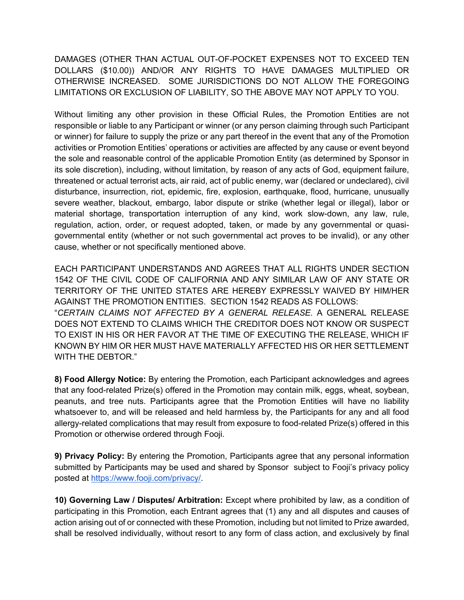DAMAGES (OTHER THAN ACTUAL OUT-OF-POCKET EXPENSES NOT TO EXCEED TEN DOLLARS (\$10.00)) AND/OR ANY RIGHTS TO HAVE DAMAGES MULTIPLIED OR OTHERWISE INCREASED. SOME JURISDICTIONS DO NOT ALLOW THE FOREGOING LIMITATIONS OR EXCLUSION OF LIABILITY, SO THE ABOVE MAY NOT APPLY TO YOU.

Without limiting any other provision in these Official Rules, the Promotion Entities are not responsible or liable to any Participant or winner (or any person claiming through such Participant or winner) for failure to supply the prize or any part thereof in the event that any of the Promotion activities or Promotion Entities' operations or activities are affected by any cause or event beyond the sole and reasonable control of the applicable Promotion Entity (as determined by Sponsor in its sole discretion), including, without limitation, by reason of any acts of God, equipment failure, threatened or actual terrorist acts, air raid, act of public enemy, war (declared or undeclared), civil disturbance, insurrection, riot, epidemic, fire, explosion, earthquake, flood, hurricane, unusually severe weather, blackout, embargo, labor dispute or strike (whether legal or illegal), labor or material shortage, transportation interruption of any kind, work slow-down, any law, rule, regulation, action, order, or request adopted, taken, or made by any governmental or quasigovernmental entity (whether or not such governmental act proves to be invalid), or any other cause, whether or not specifically mentioned above.

EACH PARTICIPANT UNDERSTANDS AND AGREES THAT ALL RIGHTS UNDER SECTION 1542 OF THE CIVIL CODE OF CALIFORNIA AND ANY SIMILAR LAW OF ANY STATE OR TERRITORY OF THE UNITED STATES ARE HEREBY EXPRESSLY WAIVED BY HIM/HER AGAINST THE PROMOTION ENTITIES. SECTION 1542 READS AS FOLLOWS: "*CERTAIN CLAIMS NOT AFFECTED BY A GENERAL RELEASE*. A GENERAL RELEASE DOES NOT EXTEND TO CLAIMS WHICH THE CREDITOR DOES NOT KNOW OR SUSPECT TO EXIST IN HIS OR HER FAVOR AT THE TIME OF EXECUTING THE RELEASE, WHICH IF KNOWN BY HIM OR HER MUST HAVE MATERIALLY AFFECTED HIS OR HER SETTLEMENT WITH THE DEBTOR."

**8) Food Allergy Notice:** By entering the Promotion, each Participant acknowledges and agrees that any food-related Prize(s) offered in the Promotion may contain milk, eggs, wheat, soybean, peanuts, and tree nuts. Participants agree that the Promotion Entities will have no liability whatsoever to, and will be released and held harmless by, the Participants for any and all food allergy-related complications that may result from exposure to food-related Prize(s) offered in this Promotion or otherwise ordered through Fooji.

**9) Privacy Policy:** By entering the Promotion, Participants agree that any personal information submitted by Participants may be used and shared by Sponsor subject to Fooji's privacy policy posted at https://www.fooji.com/privacy/.

**10) Governing Law / Disputes/ Arbitration:** Except where prohibited by law, as a condition of participating in this Promotion, each Entrant agrees that (1) any and all disputes and causes of action arising out of or connected with these Promotion, including but not limited to Prize awarded, shall be resolved individually, without resort to any form of class action, and exclusively by final